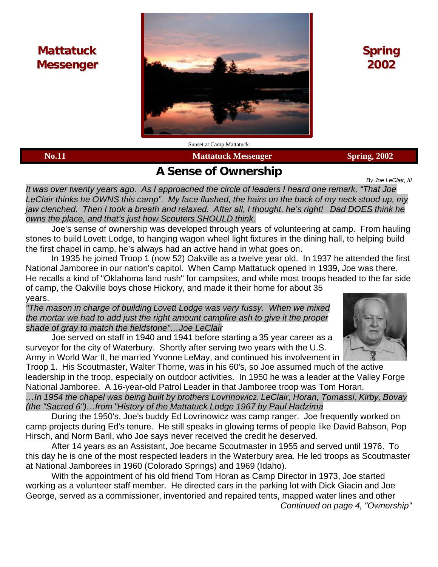# **Mattatuck Messenger**



**Spring 2002**

**No.11** Spring, 2002

# **A Sense of Ownership**

*By Joe LeClair, III*

*It was over twenty years ago. As I approached the circle of leaders I heard one remark, "That Joe LeClair thinks he OWNS this camp". My face flushed, the hairs on the back of my neck stood up, my jaw clenched. Then I took a breath and relaxed. After all, I thought, he's right! Dad DOES think he*

*owns the place, and that's just how Scouters SHOULD think.*

Joe's sense of ownership was developed through years of volunteering at camp. From hauling stones to build Lovett Lodge, to hanging wagon wheel light fixtures in the dining hall, to helping build the first chapel in camp, he's always had an active hand in what goes on.

In 1935 he joined Troop 1 (now 52) Oakville as a twelve year old. In 1937 he attended the first National Jamboree in our nation's capitol. When Camp Mattatuck opened in 1939, Joe was there. He recalls a kind of "Oklahoma land rush" for campsites, and while most troops headed to the far side of camp, the Oakville boys chose Hickory, and made it their home for about 35 years.

*"The mason in charge of building Lovett Lodge was very fussy. When we mixed the mortar we had to add just the right amount campfire ash to give it the proper shade of gray to match the fieldstone"…Joe LeClair*

Joe served on staff in 1940 and 1941 before starting a 35 year career as a surveyor for the city of Waterbury. Shortly after serving two years with the U.S. Army in World War II, he married Yvonne LeMay, and continued his involvement in

Troop 1. His Scoutmaster, Walter Thorne, was in his 60's, so Joe assumed much of the active leadership in the troop, especially on outdoor activities. In 1950 he was a leader at the Valley Forge National Jamboree. A 16-year-old Patrol Leader in that Jamboree troop was Tom Horan.

*…In 1954 the chapel was being built by brothers Lovrinowicz, LeClair, Horan, Tomassi, Kirby, Bovay (the "Sacred 6")…from "History of the Mattatuck Lodge 1967 by Paul Hadzima*

During the 1950's, Joe's buddy Ed Lovrinowicz was camp ranger. Joe frequently worked on camp projects during Ed's tenure. He still speaks in glowing terms of people like David Babson, Pop Hirsch, and Norm Baril, who Joe says never received the credit he deserved.

After 14 years as an Assistant, Joe became Scoutmaster in 1955 and served until 1976. To this day he is one of the most respected leaders in the Waterbury area. He led troops as Scoutmaster at National Jamborees in 1960 (Colorado Springs) and 1969 (Idaho).

With the appointment of his old friend Tom Horan as Camp Director in 1973, Joe started working as a volunteer staff member. He directed cars in the parking lot with Dick Giacin and Joe George, served as a commissioner, inventoried and repaired tents, mapped water lines and other

*Continued on page 4, "Ownership"*

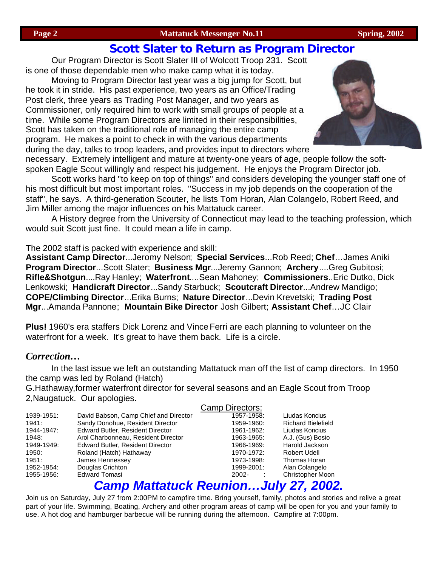#### **Page 2** Spring, 2002 Mattatuck Messenger No.11 Spring, 2002

### **Scott Slater to Return as Program Director**

Our Program Director is Scott Slater III of Wolcott Troop 231. Scott is one of those dependable men who make camp what it is today.

Moving to Program Director last year was a big jump for Scott, but he took it in stride. His past experience, two years as an Office/Trading Post clerk, three years as Trading Post Manager, and two years as Commissioner, only required him to work with small groups of people at a time. While some Program Directors are limited in their responsibilities, Scott has taken on the traditional role of managing the entire camp program. He makes a point to check in with the various departments during the day, talks to troop leaders, and provides input to directors where



necessary. Extremely intelligent and mature at twenty-one years of age, people follow the softspoken Eagle Scout willingly and respect his judgement. He enjoys the Program Director job.

Scott works hard "to keep on top of things" and considers developing the younger staff one of his most difficult but most important roles. "Success in my job depends on the cooperation of the staff", he says. A third-generation Scouter, he lists Tom Horan, Alan Colangelo, Robert Reed, and Jim Miller among the major influences on his Mattatuck career.

A History degree from the University of Connecticut may lead to the teaching profession, which would suit Scott just fine. It could mean a life in camp.

The 2002 staff is packed with experience and skill:

**Assistant Camp Director**...Jeromy Nelson; **Special Services**...Rob Reed; **Chef**…James Aniki **Program Director**...Scott Slater; **Business Mgr**...Jeremy Gannon; **Archery**....Greg Gubitosi; **Rifle&Shotgun**....Ray Hanley; **Waterfront**....Sean Mahoney; **Commissioners**..Eric Dutko, Dick Lenkowski; **Handicraft Director**...Sandy Starbuck; **Scoutcraft Director**...Andrew Mandigo; **COPE/Climbing Director**...Erika Burns; **Nature Director**...Devin Krevetski; **Trading Post Mgr**...Amanda Pannone; **Mountain Bike Director** Josh Gilbert; **Assistant Chef**…JC Clair

**Plus!** 1960's era staffers Dick Lorenz and Vince Ferri are each planning to volunteer on the waterfront for a week. It's great to have them back. Life is a circle.

#### *Correction…*

In the last issue we left an outstanding Mattatuck man off the list of camp directors. In 1950 the camp was led by Roland (Hatch)

G.Hathaway,former waterfront director for several seasons and an Eagle Scout from Troop 2,Naugatuck. Our apologies.

|            |                                         | Camp Directors: |                           |
|------------|-----------------------------------------|-----------------|---------------------------|
| 1939-1951: | David Babson, Camp Chief and Director   | 1957-1958:      | Liudas Koncius            |
| 1941:      | Sandy Donohue, Resident Director        | 1959-1960:      | <b>Richard Bielefield</b> |
| 1944-1947: | <b>Edward Butler, Resident Director</b> | 1961-1962:      | Liudas Koncius            |
| 1948:      | Arol Charbonneau, Resident Director     | 1963-1965:      | A.J. (Gus) Bosio          |
| 1949-1949: | <b>Edward Butler, Resident Director</b> | 1966-1969:      | Harold Jackson            |
| 1950:      | Roland (Hatch) Hathaway                 | 1970-1972:      | Robert Udell              |
| 1951:      | James Hennessey                         | 1973-1998:      | Thomas Horan              |
| 1952-1954: | Douglas Crichton                        | 1999-2001:      | Alan Colangelo            |
| 1955-1956: | <b>Edward Tomasi</b>                    | 2002-           | <b>Christopher Moon</b>   |
|            |                                         |                 |                           |

## *Camp Mattatuck Reunion…July 27, 2002.*

Join us on Saturday, July 27 from 2:00PM to campfire time. Bring yourself, family, photos and stories and relive a great part of your life. Swimming, Boating, Archery and other program areas of camp will be open for you and your family to use. A hot dog and hamburger barbecue will be running during the afternoon. Campfire at 7:00pm.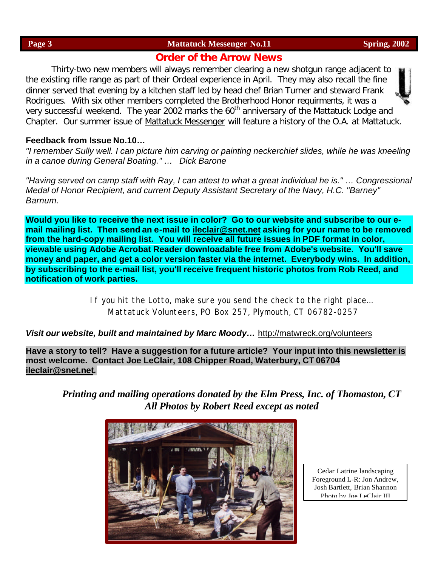#### **Order of the Arrow News**

Thirty-two new members will always remember clearing a new shotgun range adjacent to the existing rifle range as part of their Ordeal experience in April. They may also recall the fine dinner served that evening by a kitchen staff led by head chef Brian Turner and steward Frank Rodrigues. With six other members completed the Brotherhood Honor requirments, it was a very successful weekend. The year 2002 marks the 60<sup>th</sup> anniversary of the Mattatuck Lodge and Chapter. Our summer issue of *Mattatuck Messenger* will feature a history of the O.A. at Mattatuck.

#### **Feedback from Issue No.10…**

*"I remember Sully well. I can picture him carving or painting neckerchief slides, while he was kneeling in a canoe during General Boating." … Dick Barone*

*"Having served on camp staff with Ray, I can attest to what a great individual he is." … Congressional Medal of Honor Recipient, and current Deputy Assistant Secretary of the Navy, H.C. "Barney" Barnum.*

**Would you like to receive the next issue in color? Go to our website and subscribe to our email mailing list. Then send an e-mail to ileclair@snet.net asking for your name to be removed from the hard-copy mailing list. You will receive all future issues in PDF format in color, viewable using Adobe Acrobat Reader downloadable free from Adobe's website. You'll save money and paper, and get a color version faster via the internet. Everybody wins. In addition, by subscribing to the e-mail list, you'll receive frequent historic photos from Rob Reed, and notification of work parties.**

> If you hit the Lotto, make sure you send the check to the right place… Mattatuck Volunteers, PO Box 257, Plymouth, CT 06782-0257

*Visit our website, built and maintained by Marc Moody…* http://matwreck.org/volunteers

**Have a story to tell? Have a suggestion for a future article? Your input into this newsletter is most welcome. Contact Joe LeClair, 108 Chipper Road, Waterbury, CT 06704 ileclair@snet.net***.*

*Printing and mailing operations donated by the Elm Press, Inc. of Thomaston, CT All Photos by Robert Reed except as noted*



Cedar Latrine landscaping Foreground L-R: Jon Andrew, Josh Bartlett, Brian Shannon Photo by Joe LeClair III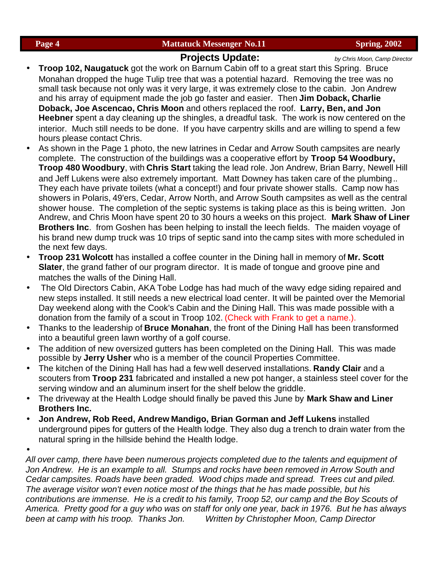#### **Projects Update:** *by Chris Moon, Camp Director*

- **Troop 102, Naugatuck** got the work on Barnum Cabin off to a great start this Spring. Bruce Monahan dropped the huge Tulip tree that was a potential hazard. Removing the tree was no small task because not only was it very large, it was extremely close to the cabin. Jon Andrew and his array of equipment made the job go faster and easier. Then **Jim Doback, Charlie Doback, Joe Ascencao, Chris Moon** and others replaced the roof. **Larry, Ben, and Jon Heebner** spent a day cleaning up the shingles, a dreadful task. The work is now centered on the interior. Much still needs to be done. If you have carpentry skills and are willing to spend a few hours please contact Chris.
- As shown in the Page 1 photo, the new latrines in Cedar and Arrow South campsites are nearly complete. The construction of the buildings was a cooperative effort by **Troop 54 Woodbury, Troop 480 Woodbury**, with **Chris Start** taking the lead role. Jon Andrew, Brian Barry, Newell Hill and Jeff Lukens were also extremely important. Matt Downey has taken care of the plumbing.. They each have private toilets (what a concept!) and four private shower stalls. Camp now has showers in Polaris, 49'ers, Cedar, Arrow North, and Arrow South campsites as well as the central shower house. The completion of the septic systems is taking place as this is being written. Jon Andrew, and Chris Moon have spent 20 to 30 hours a weeks on this project. **Mark Shaw of Liner Brothers Inc**. from Goshen has been helping to install the leech fields. The maiden voyage of his brand new dump truck was 10 trips of septic sand into the camp sites with more scheduled in the next few days.
- **Troop 231 Wolcott** has installed a coffee counter in the Dining hall in memory of **Mr. Scott Slater**, the grand father of our program director. It is made of tongue and groove pine and matches the walls of the Dining Hall.
- The Old Directors Cabin, AKA Tobe Lodge has had much of the wavy edge siding repaired and new steps installed. It still needs a new electrical load center. It will be painted over the Memorial Day weekend along with the Cook's Cabin and the Dining Hall. This was made possible with a donation from the family of a scout in Troop 102. (Check with Frank to get a name.).
- Thanks to the leadership of **Bruce Monahan**, the front of the Dining Hall has been transformed into a beautiful green lawn worthy of a golf course.
- The addition of new oversized gutters has been completed on the Dining Hall. This was made possible by **Jerry Usher** who is a member of the council Properties Committee.
- The kitchen of the Dining Hall has had a few well deserved installations. **Randy Clair** and a scouters from **Troop 231** fabricated and installed a new pot hanger, a stainless steel cover for the serving window and an aluminum insert for the shelf below the griddle.
- The driveway at the Health Lodge should finally be paved this June by **Mark Shaw and Liner Brothers Inc.**
- **Jon Andrew, Rob Reed, Andrew Mandigo, Brian Gorman and Jeff Lukens** installed underground pipes for gutters of the Health lodge. They also dug a trench to drain water from the natural spring in the hillside behind the Health lodge.
- •

*All over camp, there have been numerous projects completed due to the talents and equipment of Jon Andrew. He is an example to all. Stumps and rocks have been removed in Arrow South and Cedar campsites. Roads have been graded. Wood chips made and spread. Trees cut and piled. The average visitor won't even notice most of the things that he has made possible, but his contributions are immense. He is a credit to his family, Troop 52, our camp and the Boy Scouts of America. Pretty good for a guy who was on staff for only one year, back in 1976. But he has always been at camp with his troop. Thanks Jon. Written by Christopher Moon, Camp Director*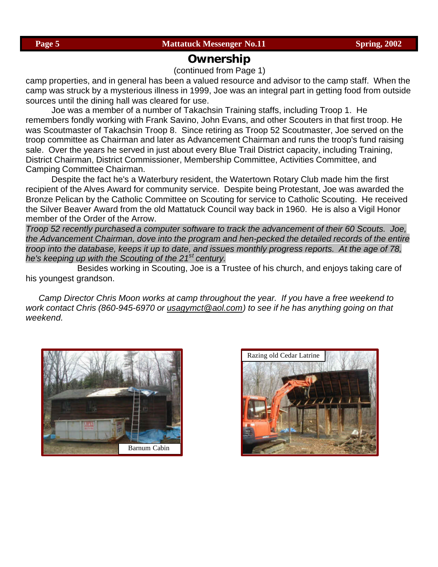#### **Ownership**

(continued from Page 1)

camp properties, and in general has been a valued resource and advisor to the camp staff. When the camp was struck by a mysterious illness in 1999, Joe was an integral part in getting food from outside sources until the dining hall was cleared for use.

Joe was a member of a number of Takachsin Training staffs, including Troop 1. He remembers fondly working with Frank Savino, John Evans, and other Scouters in that first troop. He was Scoutmaster of Takachsin Troop 8. Since retiring as Troop 52 Scoutmaster, Joe served on the troop committee as Chairman and later as Advancement Chairman and runs the troop's fund raising sale. Over the years he served in just about every Blue Trail District capacity, including Training, District Chairman, District Commissioner, Membership Committee, Activities Committee, and Camping Committee Chairman.

Despite the fact he's a Waterbury resident, the Watertown Rotary Club made him the first recipient of the Alves Award for community service. Despite being Protestant, Joe was awarded the Bronze Pelican by the Catholic Committee on Scouting for service to Catholic Scouting. He received the Silver Beaver Award from the old Mattatuck Council way back in 1960. He is also a Vigil Honor member of the Order of the Arrow.

*Troop 52 recently purchased a computer software to track the advancement of their 60 Scouts. Joe, the Advancement Chairman, dove into the program and hen-pecked the detailed records of the entire troop into the database, keeps it up to date, and issues monthly progress reports. At the age of 78, he's keeping up with the Scouting of the 21st century.*

Besides working in Scouting, Joe is a Trustee of his church, and enjoys taking care of his youngest grandson.

*Camp Director Chris Moon works at camp throughout the year. If you have a free weekend to work contact Chris (860-945-6970 or usagymct@aol.com) to see if he has anything going on that weekend.*